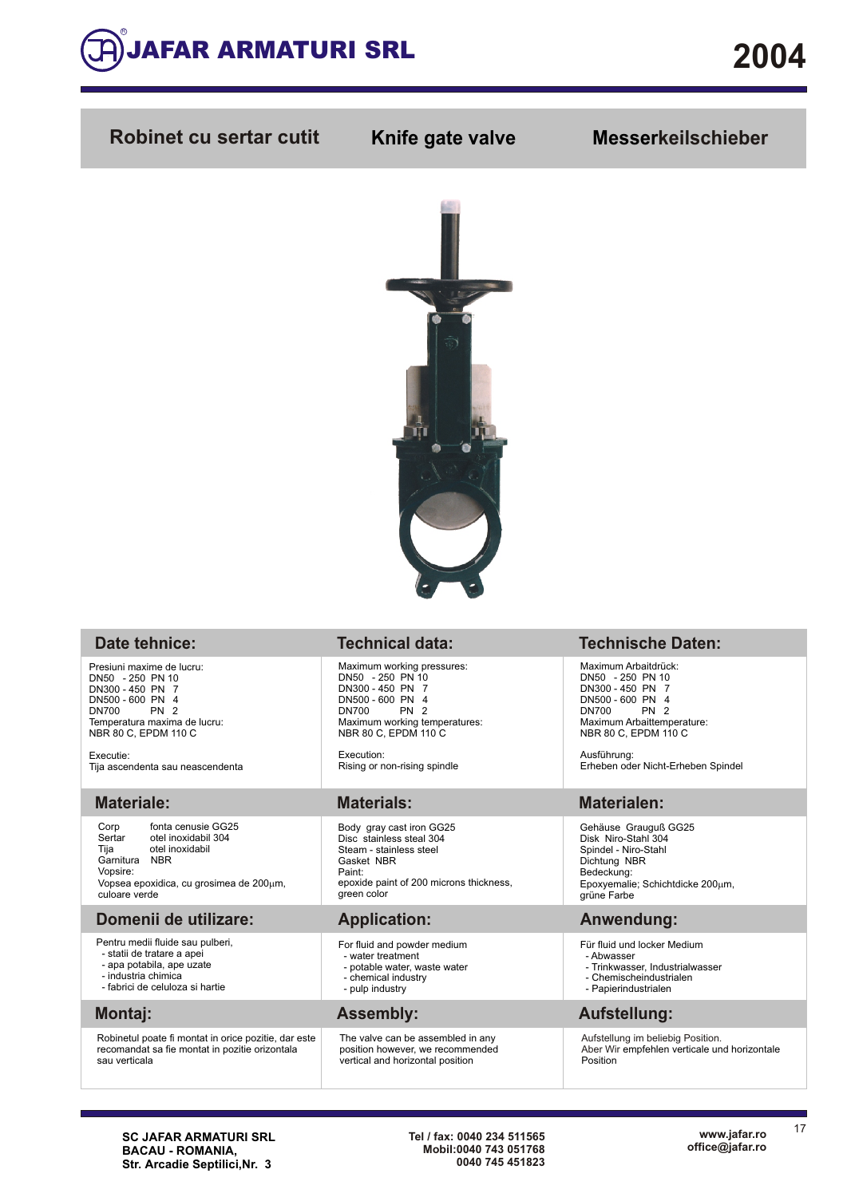

## **Robinet cu sertar cutit Knife gate valve Messerkeilschieber**



## **Date tehnice:**

Presiuni maxime de lucru: DN50 - 250 PN 10 DN300 - 450 PN 7 DN500 - 600 PN 4 DN700 PN 2 Temperatura maxima de lucru: NBR 80 C, EPDM 110 C

Executie: Tija ascendenta sau neascendenta

## **Materiale:**

Corp fonta cenusie GG25<br>Sertar otel inoxidabil 304 Sertar otel inoxidabil 304<br>Tija otel inoxidabil otel inoxidabil Garnitura NBR Vopsire: Vopsea epoxidica, cu grosimea de 200µm, culoare verde

### **Domenii de utilizare:**

- Pentru medii fluide sau pulberi,
- statii de tratare a apei
- apa potabila, ape uzate - industria chimica
- fabrici de celuloza si hartie

## **Montaj:**

Robinetul poate fi montat in orice pozitie, dar este recomandat sa fie montat in pozitie orizontala sau verticala

Maximum working pressures: DN50 - 250 PN 10 DN300 - 450 PN 7 DN500 - 600 PN 4<br>DN700 PN 2 DN700 PN 2 Maximum working temperatures: NBR 80 C, EPDM 110 C

Execution: Rising or non-rising spindle

Body gray cast iron GG25 Disc stainless steal 304 Steam - stainless steel Gasket NBR Paint: epoxide paint of 200 microns thickness, green color

- For fluid and powder medium
- water treatment - potable water, waste water
- chemical industry
- pulp industry

The valve can be assembled in any position however, we recommended vertical and horizontal position

## **Technical data: Technische Daten:**

Maximum Arbaitdrück: DN50 - 250 PN 10 DN300 - 450 PN 7 DN500 - 600 PN 4<br>DN700 PN 2  $DN700$ Maximum Arbaittemperature: NBR 80 C, EPDM 110 C

Ausführung: Erheben oder Nicht-Erheben Spindel

## **Materials: Materialen:**

Gehäuse Grauguß GG25 Disk Niro-Stahl 304 Spindel - Niro-Stahl Dichtung NBR Bedeckung: Epoxyemalie; Schichtdicke  $200 \mu m$ , grüne Farbe

## **Application: Anwendung:**

- Für fluid und locker Medium
- Abwasser
	- Trinkwasser, Industrialwasser - Chemischeindustrialen
	- Papierindustrialen
- 

## **Assembly: Aufstellung:**

Aufstellung im beliebig Position. Aber Wir empfehlen verticale und horizontale Position

17